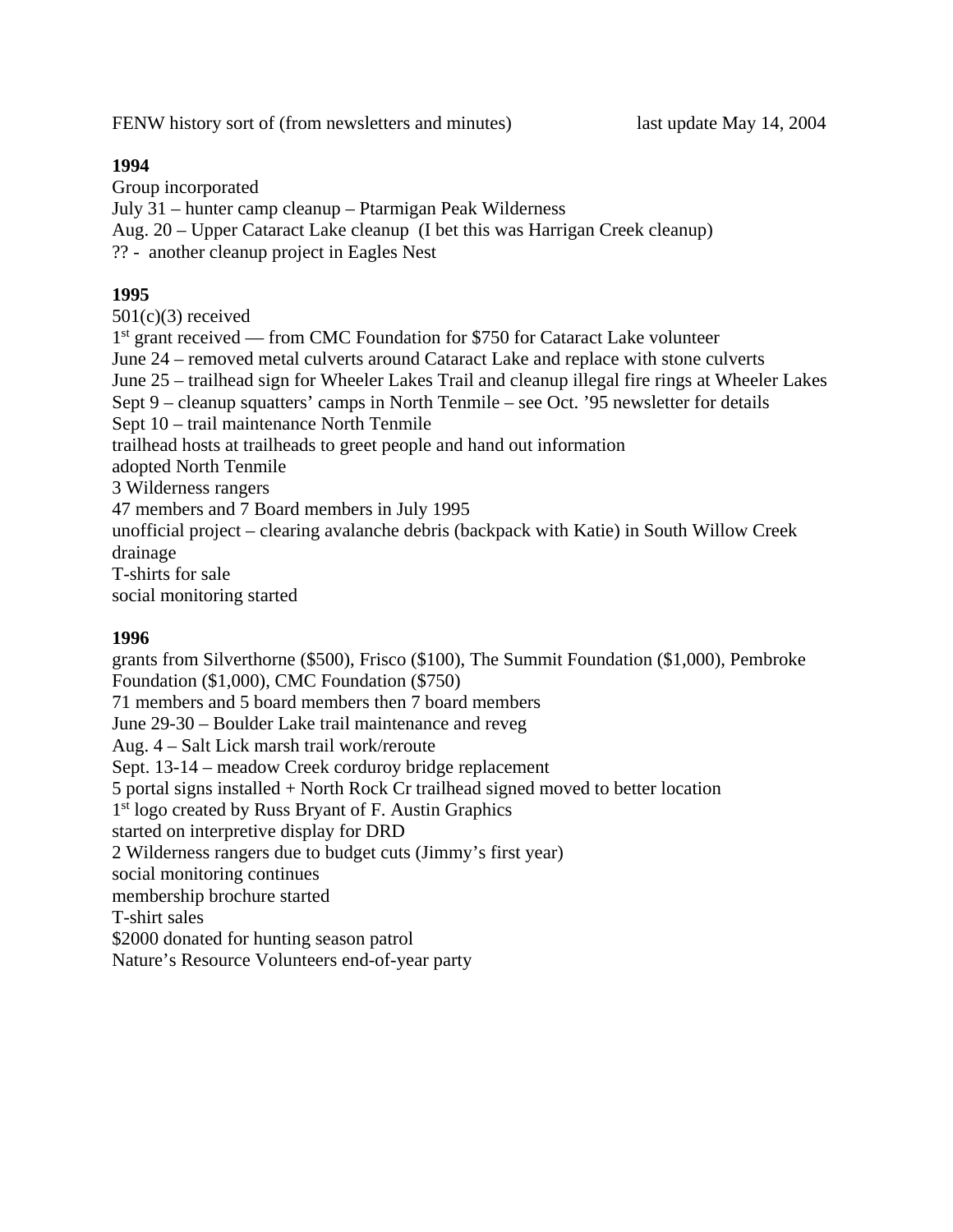FENW history sort of (from newsletters and minutes) last update May 14, 2004

## **1994**

Group incorporated July 31 – hunter camp cleanup – Ptarmigan Peak Wilderness Aug. 20 – Upper Cataract Lake cleanup (I bet this was Harrigan Creek cleanup) ?? - another cleanup project in Eagles Nest

## **1995**

 $501(c)(3)$  received 1<sup>st</sup> grant received — from CMC Foundation for \$750 for Cataract Lake volunteer June 24 – removed metal culverts around Cataract Lake and replace with stone culverts June 25 – trailhead sign for Wheeler Lakes Trail and cleanup illegal fire rings at Wheeler Lakes Sept 9 – cleanup squatters' camps in North Tenmile – see Oct. '95 newsletter for details Sept 10 – trail maintenance North Tenmile trailhead hosts at trailheads to greet people and hand out information adopted North Tenmile 3 Wilderness rangers 47 members and 7 Board members in July 1995 unofficial project – clearing avalanche debris (backpack with Katie) in South Willow Creek drainage T-shirts for sale social monitoring started

### **1996**

grants from Silverthorne (\$500), Frisco (\$100), The Summit Foundation (\$1,000), Pembroke Foundation (\$1,000), CMC Foundation (\$750) 71 members and 5 board members then 7 board members June 29-30 – Boulder Lake trail maintenance and reveg Aug. 4 – Salt Lick marsh trail work/reroute Sept. 13-14 – meadow Creek corduroy bridge replacement 5 portal signs installed + North Rock Cr trailhead signed moved to better location 1<sup>st</sup> logo created by Russ Bryant of F. Austin Graphics started on interpretive display for DRD 2 Wilderness rangers due to budget cuts (Jimmy's first year) social monitoring continues membership brochure started T-shirt sales \$2000 donated for hunting season patrol Nature's Resource Volunteers end-of-year party